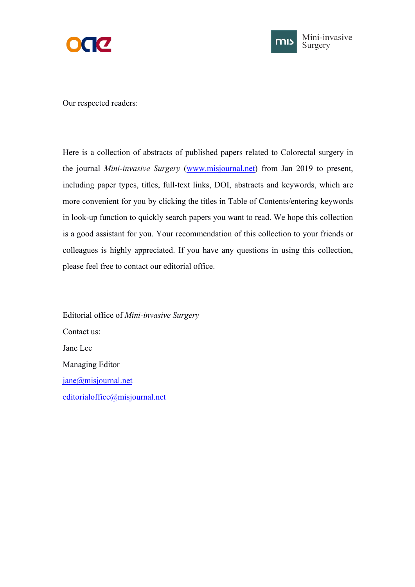



Our respected readers:

Here is a collection of abstracts of published papers related to Colorectal surgery in the journal *Mini-invasive Surgery* ([www.misjournal.net\)](http://www.misjournal.net) from Jan 2019 to present, including paper types, titles, full-text links, DOI, abstracts and keywords, which are more convenient for you by clicking the titles in Table of Contents/entering keywords in look-up function to quickly search papers you want to read. We hope this collection is a good assistant for you. Your recommendation of this collection to your friends or colleagues is highly appreciated. If you have any questions in using this collection, please feel free to contact our editorial office.

Editorial office of *Mini-invasive Surgery* Contact us: Jane Lee Managing Editor [jane@misjournal.net](mailto:jane@misjournal.net) [editorialoffice@misjournal.net](mailto:editorialoffice@misjournal.net)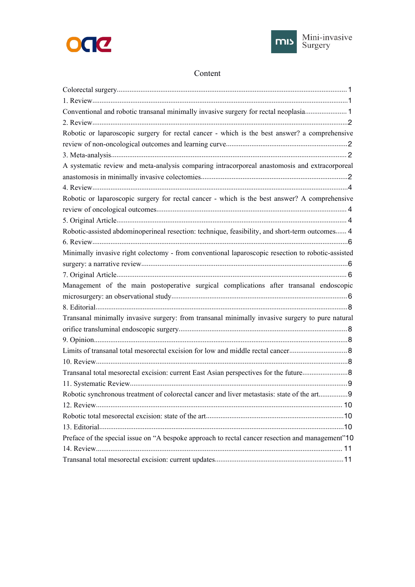



## Content

| Conventional and robotic transanal minimally invasive surgery for rectal neoplasia 1              |  |
|---------------------------------------------------------------------------------------------------|--|
|                                                                                                   |  |
| Robotic or laparoscopic surgery for rectal cancer - which is the best answer? a comprehensive     |  |
|                                                                                                   |  |
|                                                                                                   |  |
| A systematic review and meta-analysis comparing intracorporeal anastomosis and extracorporeal     |  |
|                                                                                                   |  |
|                                                                                                   |  |
| Robotic or laparoscopic surgery for rectal cancer - which is the best answer? A comprehensive     |  |
|                                                                                                   |  |
|                                                                                                   |  |
| Robotic-assisted abdominoperineal resection: technique, feasibility, and short-term outcomes 4    |  |
|                                                                                                   |  |
| Minimally invasive right colectomy - from conventional laparoscopic resection to robotic-assisted |  |
|                                                                                                   |  |
|                                                                                                   |  |
| Management of the main postoperative surgical complications after transanal endoscopic            |  |
|                                                                                                   |  |
|                                                                                                   |  |
| Transanal minimally invasive surgery: from transanal minimally invasive surgery to pure natural   |  |
|                                                                                                   |  |
|                                                                                                   |  |
|                                                                                                   |  |
|                                                                                                   |  |
|                                                                                                   |  |
|                                                                                                   |  |
| Robotic synchronous treatment of colorectal cancer and liver metastasis: state of the art9        |  |
|                                                                                                   |  |
|                                                                                                   |  |
|                                                                                                   |  |
| Preface of the special issue on "A bespoke approach to rectal cancer resection and management"10  |  |
|                                                                                                   |  |
|                                                                                                   |  |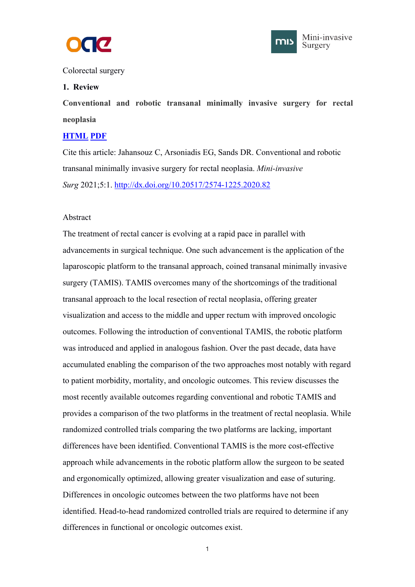



## <span id="page-2-1"></span><span id="page-2-0"></span>Colorectal surgery

### **1. Review**

**Conventional and robotic transanal minimally invasive surgery for rectal neoplasia**

### **[HTML](https://misjournal.net/article/view/3857) [PDF](https://misjournal.net/article/download/3857)**

Cite this article: Jahansouz C, Arsoniadis EG, Sands DR. Conventional and robotic transanal minimally invasive surgery for rectal neoplasia. *Mini-invasive Surg* 2021;5:1. <http://dx.doi.org/10.20517/2574-1225.2020.82>

### Abstract

The treatment of rectal cancer is evolving at a rapid pace in parallel with advancements in surgical technique. One such advancement is the application of the laparoscopic platform to the transanal approach, coined transanal minimally invasive surgery (TAMIS). TAMIS overcomes many of the shortcomings of the traditional transanal approach to the local resection of rectal neoplasia, offering greater visualization and access to the middle and upper rectum with improved oncologic outcomes. Following the introduction of conventional TAMIS, the robotic platform was introduced and applied in analogous fashion. Over the past decade, data have accumulated enabling the comparison of the two approaches most notably with regard to patient morbidity, mortality, and oncologic outcomes. This review discusses the most recently available outcomes regarding conventional and robotic TAMIS and provides a comparison of the two platforms in the treatment of rectal neoplasia. While randomized controlled trials comparing the two platforms are lacking, important differences have been identified. Conventional TAMIS is the more cost-effective approach while advancements in the robotic platform allow the surgeon to be seated and ergonomically optimized, allowing greater visualization and ease of suturing. Differences in oncologic outcomes between the two platforms have not been identified. Head-to-head randomized controlled trials are required to determine if any differences in functional or oncologic outcomes exist.

 $1 \quad \text{or} \quad \text{or} \quad \text{or} \quad \text{or} \quad \text{or} \quad \text{or} \quad \text{or} \quad \text{or} \quad \text{or} \quad \text{or} \quad \text{or} \quad \text{or} \quad \text{or} \quad \text{or} \quad \text{or} \quad \text{or} \quad \text{or} \quad \text{or} \quad \text{or} \quad \text{or} \quad \text{or} \quad \text{or} \quad \text{or} \quad \text{or} \quad \text{or} \quad \text{or} \quad \text{or} \quad \text{or} \quad \text{or} \quad \text{or} \quad \text{or} \quad$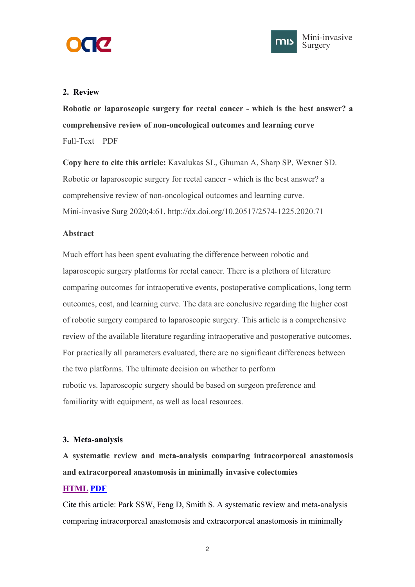<span id="page-3-1"></span><span id="page-3-0"></span>



**Robotic or laparoscopic surgery for rectal cancer - which is the bestanswer? a comprehensive review of non-oncological outcomes and learning curve** [Full-Text](https://misjournal.net/article/view/3640) [PDF](https://oaepublishstorage.blob.core.windows.net/e3558a4b-54bb-4593-bd6c-434e320f4fa8/3640.pdf)

**Copy here to cite this article:** Kavalukas SL, Ghuman A, Sharp SP, Wexner SD. Robotic or laparoscopic surgery for rectal cancer - which is the bestanswer? a comprehensive review of non-oncological outcomes and learning curve. Mini-invasive Surg 2020;4:61. http://dx.doi.org/10.20517/2574-1225.2020.71

## **Abstract**

Much effort has been spent evaluating the difference between robotic and laparoscopic surgery platforms for rectal cancer. There is a plethora of literature comparing outcomes for intraoperative events, postoperative complications, long term outcomes, cost, and learning curve. The data are conclusive regarding the higher cost of robotic surgery compared to laparoscopic surgery. This article is a comprehensive review of the available literature regarding intraoperative and postoperative outcomes. For practically all parameters evaluated, there are no significant differences between the two platforms. The ultimate decision on whether to perform robotic vs. laparoscopic surgery should be based on surgeon preference and familiarity with equipment, as well as local resources.

# **3. Meta-analysis**

**A systematic review and meta-analysis comparing intracorporeal anastomosis and extracorporeal anastomosis in minimally invasive colectomies**

# **[HTML](https://misjournal.net/article/view/3798) [PDF](https://oaepublishstorage.blob.core.windows.net/a426cc81-0433-4eb8-a16f-7f61ddd72d49/3798.pdf)**

Cite this article: Park SSW, Feng D, Smith S. A systematic review and meta-analysis comparing intracorporeal anastomosis and extracorporeal anastomosis in minimally

2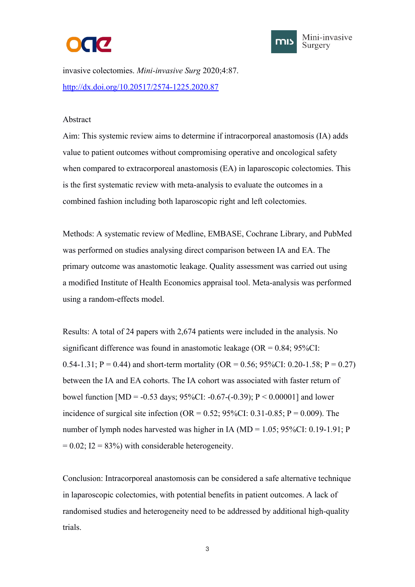



invasive colectomies. *Mini-invasive Surg* 2020;4:87. <http://dx.doi.org/10.20517/2574-1225.2020.87>

### Abstract

Aim: This systemic review aims to determine if intracorporeal anastomosis (IA) adds value to patient outcomes without compromising operative and oncological safety when compared to extracorporeal anastomosis (EA) in laparoscopic colectomies. This is the first systematic review with meta-analysis to evaluate the outcomes in a combined fashion including both laparoscopic right and left colectomies.

Methods: A systematic review of Medline, EMBASE, Cochrane Library, and PubMed was performed on studies analysing direct comparison between IA and EA. The primary outcome was anastomotic leakage. Quality assessment was carried out using a modified Institute of Health Economics appraisal tool. Meta-analysis was performed using a random-effects model.

Results: A total of 24 papers with 2,674 patients were included in the analysis. No significant difference was found in anastomotic leakage  $(OR = 0.84; 95\%CI$ : 0.54-1.31; P = 0.44) and short-term mortality (OR = 0.56; 95%CI: 0.20-1.58; P = 0.27) between the IA and EA cohorts. The IA cohort was associated with faster return of bowel function  $[MD = -0.53 \text{ days}; 95\%CI: -0.67 - (-0.39); P < 0.00001]$  and lower incidence of surgical site infection (OR =  $0.52$ ;  $95\%$ CI:  $0.31$ - $0.85$ ; P =  $0.009$ ). The number of lymph nodes harvested was higher in IA (MD = 1.05; 95%CI: 0.19-1.91; P  $= 0.02$ ; I2 = 83%) with considerable heterogeneity.

Conclusion: Intracorporeal anastomosis can be considered a safe alternative technique in laparoscopic colectomies, with potential benefits in patient outcomes. A lack of randomised studies and heterogeneity need to be addressed by additional high-quality trials.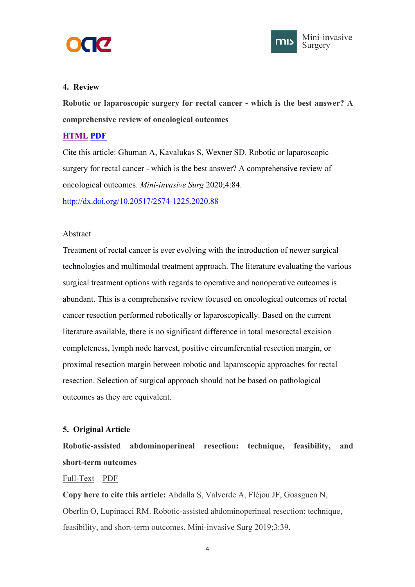<span id="page-5-1"></span><span id="page-5-0"></span>



**Robotic or laparoscopic surgery for rectal cancer - which is the best answer? A comprehensive review of oncological outcomes**

## **[HTML](https://misjournal.net/article/view/3776) [PDF](https://oaepublishstorage.blob.core.windows.net/8407140a-3cd4-4849-815a-22081eec3b9c/3776.pdf)**

Cite this article: Ghuman A, Kavalukas S, Wexner SD. Robotic or laparoscopic surgery for rectal cancer - which is the best answer? A comprehensive review of oncological outcomes. *Mini-invasive Surg* 2020;4:84. <http://dx.doi.org/10.20517/2574-1225.2020.88>

## Abstract

Treatment of rectal cancer is ever evolving with the introduction of newer surgical technologies and multimodal treatment approach. The literature evaluating the various surgical treatment options with regards to operative and nonoperative outcomes is abundant. This is a comprehensive review focused on oncological outcomes ofrectal cancer resection performed robotically or laparoscopically. Based on the current literature available, there is no significant difference in total mesorectal excision completeness, lymph node harvest, positive circumferential resection margin, or proximal resection margin between robotic and laparoscopic approaches for rectal resection. Selection of surgical approach should not be based on pathological outcomes as they are equivalent.

# **5. Original Article**

**Robotic-assisted abdominoperineal resection: technique, feasibility, and short-term outcomes**

## [Full-Text](https://misjournal.net/article/view/3299) [PDF](https://oaepublishstorage.blob.core.windows.net/25b4f0d0-7e62-457b-b6b3-57ef9624d87e/3299.pdf)

**Copy here to cite this article:** Abdalla S, Valverde A, Fléjou JF, Goasguen N, Oberlin O, Lupinacci RM. Robotic-assisted abdominoperineal resection: technique, feasibility, and short-term outcomes. Mini-invasive Surg 2019;3:39.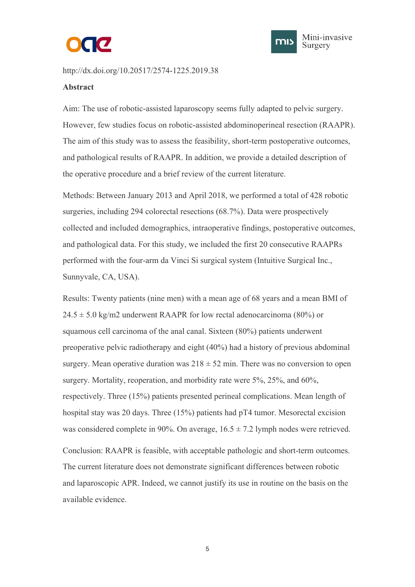



http://dx.doi.org/10.20517/2574-1225.2019.38

#### **Abstract**

Aim: The use of robotic-assisted laparoscopy seems fully adapted to pelvic surgery. However, few studies focus on robotic-assisted abdominoperineal resection (RAAPR). The aim of this study was to assess the feasibility, short-term postoperative outcomes,<br>and pathological results of RAAPR. In addition, we provide a detailed description of the operative procedure and a brief review of the current literature.

Methods: Between January 2013 and April 2018, we performed a total of 428 robotic surgeries, including 294 colorectal resections (68.7%). Data were prospectively collected and included demographics, intraoperative findings, postoperative outcomes, and pathological data. For this study, we included the first 20 consecutive RAAPRs performed with the four-arm da Vinci Si surgical system (Intuitive Surgical Inc., Sunnyvale, CA, USA).

Results: Twenty patients (nine men) with a mean age of 68 years and a mean BMI of  $24.5 \pm 5.0$  kg/m2 underwent RAAPR for low rectal adenocarcinoma (80%) or squamous cell carcinoma of the anal canal. Sixteen (80%) patients underwent preoperative pelvic radiotherapy and eight (40%) had a history of previous abdominal surgery. Mean operative duration was  $218 \pm 52$  min. There was no conversion to open surgery. Mortality, reoperation, and morbidity rate were 5%, 25%, and 60%, respectively. Three (15%) patients presented perineal complications. Mean length of hospital stay was 20 days. Three  $(15%)$  patients had pT4 tumor. Mesorectal excision was considered complete in 90%. On average,  $16.5 \pm 7.2$  lymph nodes were retrieved. Conclusion: RAAPR is feasible, with acceptable pathologic and short-term outcomes. The current literature does not demonstrate significant differences between robotic and laparoscopic APR. Indeed, we cannot justify its use in routine on the basis on the available evidence.

 $5<sub>5</sub>$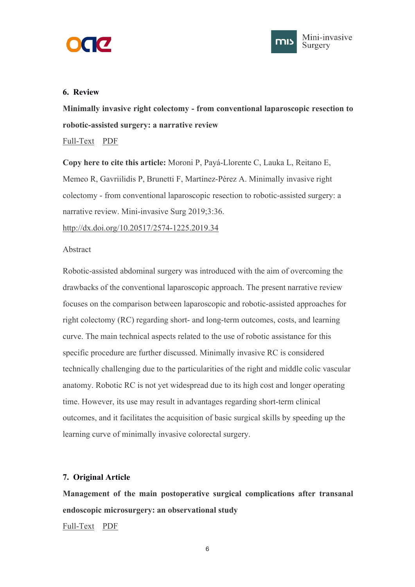<span id="page-7-1"></span><span id="page-7-0"></span>



**Minimally invasive right colectomy - from conventional laparoscopic resection to robotic-assisted surgery: a narrative review**

[Full-Text](https://misjournal.net/article/view/3284) [PDF](https://oaepublishstorage.blob.core.windows.net/f5d267af-f885-41bc-83ac-cf51035d926d/3284.pdf)

**Copy here to cite this article:** Moroni P, Payá-Llorente C, Lauka L, Reitano E, Memeo R, Gavriilidis P, Brunetti F, Martínez-Pérez A. Minimally invasive right colectomy - from conventional laparoscopic resection to robotic-assisted surgery: a narrative review. Mini-invasive Surg 2019;3:36.

<http://dx.doi.org/10.20517/2574-1225.2019.34>

## Abstract

Robotic-assisted abdominal surgery was introduced with the aim of overcoming the drawbacks of the conventional laparoscopic approach. The present narrative review focuses on the comparison between laparoscopic and robotic-assisted approaches for right colectomy (RC) regarding short- and long-term outcomes, costs, and learning curve. The main technical aspects related to the use of robotic assistance for this specific procedure are further discussed. Minimally invasive RC is considered technically challenging due to the particularities of the right and middle colic vascular anatomy. Robotic RC is not yet widespread due to its high cost and longer operating time. However, its use may result in advantages regarding short-term clinical outcomes, and it facilitates the acquisition of basic surgical skills by speeding up the learning curve of minimally invasive colorectal surgery.

# **7. Original Article**

**Management of the main postoperative surgical complications after transanal endoscopic microsurgery: an observational study** [Full-Text](https://misjournal.net/article/view/3331) [PDF](https://oaepublishstorage.blob.core.windows.net/ef3f47a4-1963-4c70-939d-b414cb68c740/3331.pdf)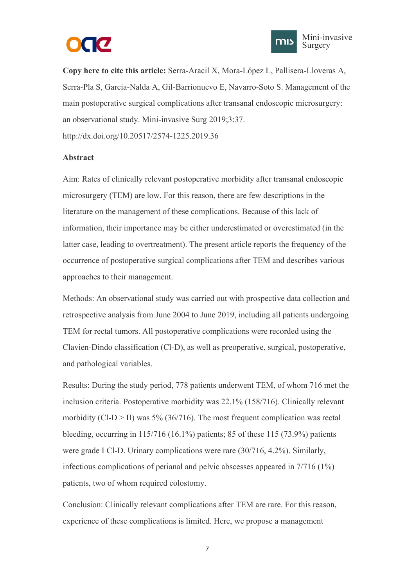



**Copy here to cite this article:** Serra-Aracil X, Mora-López L, Pallisera-Lloveras A, Serra-Pla S, Garcia-Nalda A, Gil-Barrionuevo E, Navarro-Soto S. Management of the main postoperative surgical complications after transanal endoscopic microsurgery: an observational study. Mini-invasive Surg 2019;3:37. http://dx.doi.org/10.20517/2574-1225.2019.36

### **Abstract**

Aim: Rates of clinically relevant postoperative morbidity after transanal endoscopic microsurgery (TEM) are low. For this reason, there are few descriptions in the literature on the management of these complications. Because of this lack of information, their importance may be either underestimated or overestimated (in the latter case, leading to overtreatment). The present article reports the frequency of the occurrence of postoperative surgical complications after TEM and describes various approaches to their management.

Methods: An observational study was carried out with prospective data collection and retrospective analysis from June 2004 to June 2019, including all patients undergoing TEM for rectal tumors. All postoperative complications were recorded using the Clavien-Dindo classification (Cl-D), as well as preoperative, surgical, postoperative, and pathological variables.

Results: During the study period, 778 patients underwent TEM, of whom 716 met the inclusion criteria. Postoperative morbidity was 22.1% (158/716). Clinically relevant morbidity (Cl-D  $>$  II) was 5% (36/716). The most frequent complication was rectal bleeding, occurring in  $115/716$  (16.1%) patients; 85 of these 115 (73.9%) patients were grade I Cl-D. Urinary complications were rare (30/716, 4.2%). Similarly, infectious complications of perianal and pelvic abscesses appeared in 7/716 (1%) patients, two of whom required colostomy.

Conclusion: Clinically relevant complications after TEM are rare. For this reason, experience of these complications is limited. Here, we propose a management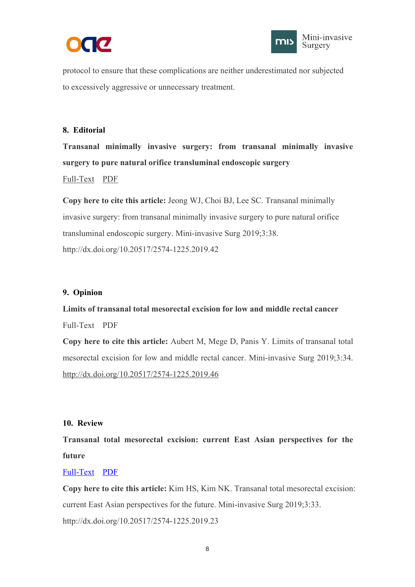



<span id="page-9-2"></span><span id="page-9-1"></span><span id="page-9-0"></span>protocol to ensure that these complications are neither underestimated nor subjected to excessively aggressive or unnecessary treatment.

# **8. Editorial**

**Transanal minimally invasive surgery: from transanal minimally invasive surgery to pure natural orifice transluminal endoscopic surgery**

# [Full-Text](https://misjournal.net/article/view/3286) [PDF](https://oaepublishstorage.blob.core.windows.net/f691d49f-b0eb-457e-b9c3-afe95f4b7973/3286.pdf)

**Copy here to cite this article:** Jeong WJ, Choi BJ, Lee SC. Transanal minimally invasive surgery: from transanal minimally invasive surgery to pure natural orifice transluminal endoscopic surgery. Mini-invasive Surg 2019;3:38. <http://dx.doi.org/10.20517/2574-1225.2019.42>

### **9. Opinion**

**Limits oftransanal total mesorectal excision for low and middle rectal cancer** [Full-Text](https://misjournal.net/article/view/3268) [PDF](https://oaepublishstorage.blob.core.windows.net/9a6bbf7c-c976-44e3-b3d9-6a37aee22236/3268.pdf)

**Copy here to cite this article:** Aubert M, Mege D, Panis Y. Limits of transanal total mesorectal excision for low and middle rectal cancer. Mini-invasive Surg 2019;3:34. <http://dx.doi.org/10.20517/2574-1225.2019.46>

### **10. Review**

**Transanal total mesorectal excision: current East Asian perspectives for the future**

#### [Full-Text](https://misjournal.net/article/view/3264) [PDF](https://oaepublishstorage.blob.core.windows.net/481b44d7-36c0-4492-be25-b8064a83f5cc/3264.pdf)

**Copy here to cite this article:** Kim HS, Kim NK. Transanal total mesorectal excision: current East Asian perspectives for the future. Mini-invasive Surg 2019;3:33. http://dx.doi.org/10.20517/2574-1225.2019.23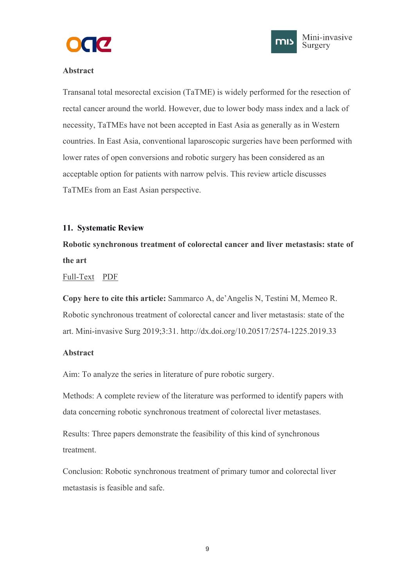



# <span id="page-10-1"></span><span id="page-10-0"></span>**Abstract**

Transanal total mesorectal excision (TaTME) is widely performed for the resection of rectal cancer around the world. However, due to lower body mass index and a lack of necessity, TaTMEs have not been accepted in East Asia as generally as in Western countries. In East Asia, conventional laparoscopic surgeries have been performed with lower rates of open conversions and robotic surgery has been considered as an acceptable option for patients with narrow pelvis. This review article discusses TaTMEs from an East Asian perspective.

## **11. Systematic Review**

**Robotic synchronous treatment of colorectal cancer and liver metastasis: state of the art**

[Full-Text](https://misjournal.net/article/view/3246) [PDF](https://oaepublishstorage.blob.core.windows.net/4375677d-566f-4447-a7b1-ed722843db69/3246.pdf)

**Copy here to cite this article:** Sammarco A, de'Angelis N, Testini M, Memeo R. Robotic synchronous treatment of colorectal cancer and liver metastasis: state of the art. Mini-invasive Surg 2019;3:31. http://dx.doi.org/10.20517/2574-1225.2019.33

## **Abstract**

Aim: To analyze the series in literature of pure robotic surgery.

Methods: A complete review of the literature was performed to identify papers with data concerning robotic synchronous treatment of colorectal liver metastases.

Results: Three papers demonstrate the feasibility of this kind of synchronous treatment.

Conclusion: Robotic synchronous treatment of primary tumor and colorectal liver metastasis is feasible and safe.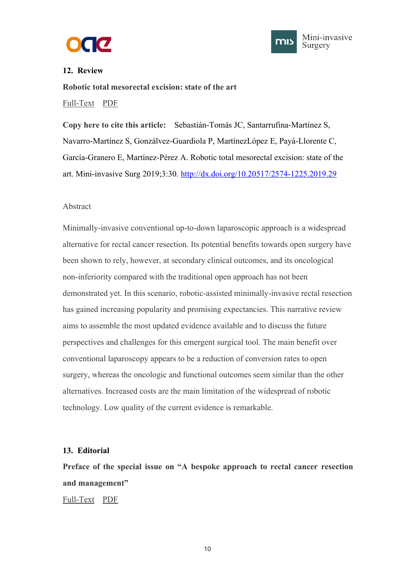



<span id="page-11-1"></span><span id="page-11-0"></span>**Robotic total mesorectal excision: state of the art** [Full-Text](https://misjournal.net/article/view/3237) [PDF](https://oaepublishstorage.blob.core.windows.net/caf6454a-ea19-4950-90de-1ed77ecf32b0/3237.pdf)

**Copy here to cite this article:** Sebastián-Tomás JC, Santarrufina-Martínez S, Navarro-Martínez S, Gonzálvez-Guardiola P, MartínezLópez E, Payá-Llorente C, García-Granero E, Martínez-Pérez A. Robotic total mesorectal excision: state of the art. Mini-invasive Surg 2019;3:30. <http://dx.doi.org/10.20517/2574-1225.2019.29>

## Abstract

Minimally-invasive conventional up-to-down laparoscopic approach is a widespread alternative for rectal cancer resection. Its potential benefits towards open surgery have been shown to rely, however, at secondary clinical outcomes, and its oncological non-inferiority compared with the traditional open approach has not been demonstrated yet. In this scenario, robotic-assisted minimally-invasive rectal resection has gained increasing popularity and promising expectancies. This narrative review aims to assemble the most updated evidence available and to discuss the future perspectives and challenges for this emergent surgical tool. The main benefit over conventional laparoscopy appears to be a reduction of conversion rates to open surgery, whereas the oncologic and functional outcomes seem similar than the other alternatives. Increased costs are the main limitation of the widespread of robotic technology. Low quality of the current evidence is remarkable.

## **13. Editorial**

**Preface of the special issue on "A bespoke approach to rectal cancer resection and management"**

[Full-Text](https://misjournal.net/article/view/3021) [PDF](https://oaepublishstorage.blob.core.windows.net/fe14ef44-91dc-4ede-bc17-c2c49e8694d5/3021.pdf)